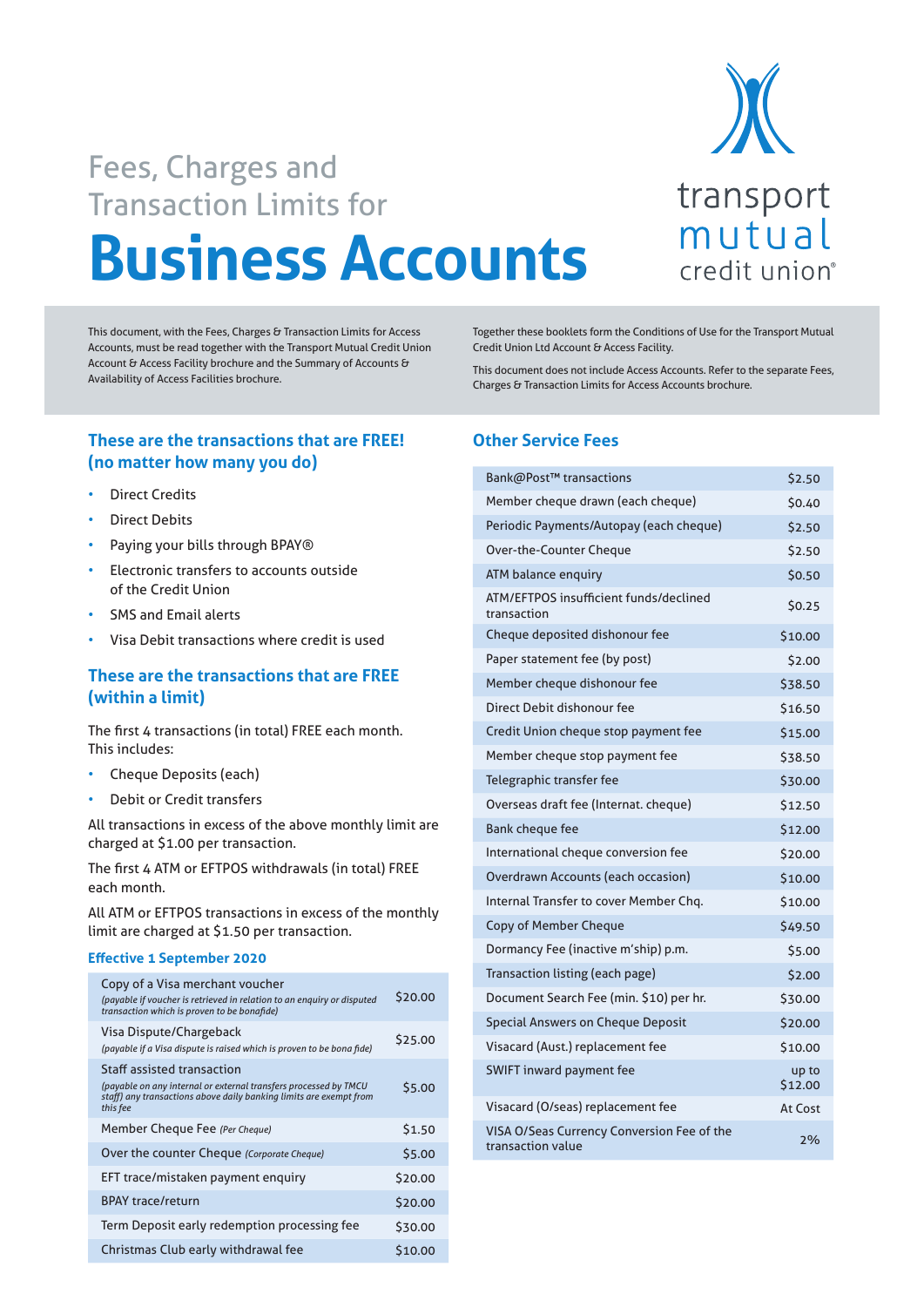

# **Business Accounts** Fees, Charges and Transaction Limits for

This document, with the Fees, Charges & Transaction Limits for Access Accounts, must be read together with the Transport Mutual Credit Union Account & Access Facility brochure and the Summary of Accounts & Availability of Access Facilities brochure.

**These are the transactions that are FREE! (no matter how many you do)**

- **Direct Credits**
- Direct Debits
- Paying your bills through BPAY®
- Electronic transfers to accounts outside of the Credit Union
- SMS and Email alerts
- Visa Debit transactions where credit is used

## **These are the transactions that are FREE (within a limit)**

The first 4 transactions (in total) FREE each month. This includes:

- Cheque Deposits (each)
- Debit or Credit transfers

All transactions in excess of the above monthly limit are charged at \$1.00 per transaction.

The first 4 ATM or EFTPOS withdrawals (in total) FREE each month.

All ATM or EFTPOS transactions in excess of the monthly limit are charged at \$1.50 per transaction.

#### **Effective 1 September 2020**

| Copy of a Visa merchant voucher<br>(payable if voucher is retrieved in relation to an enguiry or disputed<br>transaction which is proven to be bonafide)                                | \$20.00 |
|-----------------------------------------------------------------------------------------------------------------------------------------------------------------------------------------|---------|
| Visa Dispute/Chargeback<br>(payable if a Visa dispute is raised which is proven to be bona fide)                                                                                        | \$25.00 |
| <b>Staff assisted transaction</b><br>(payable on any internal or external transfers processed by TMCU<br>staff) any transactions above daily banking limits are exempt from<br>this fee | \$5.00  |
| Member Cheque Fee (Per Cheque)                                                                                                                                                          | \$1.50  |
| Over the counter Cheque (Corporate Cheque)                                                                                                                                              | \$5.00  |
| EFT trace/mistaken payment enquiry                                                                                                                                                      | \$20.00 |
| <b>BPAY trace/return</b>                                                                                                                                                                | \$20.00 |
| Term Deposit early redemption processing fee                                                                                                                                            | \$30.00 |
| Christmas Club early withdrawal fee                                                                                                                                                     | \$10.00 |

Together these booklets form the Conditions of Use for the Transport Mutual Credit Union Ltd Account & Access Facility.

This document does not include Access Accounts. Refer to the separate Fees, Charges & Transaction Limits for Access Accounts brochure.

## **Other Service Fees**

| Bank@Post™ transactions                                         | \$2.50           |
|-----------------------------------------------------------------|------------------|
| Member cheque drawn (each cheque)                               | \$0.40           |
| Periodic Payments/Autopay (each cheque)                         | \$2.50           |
| Over-the-Counter Cheque                                         | \$2.50           |
| ATM balance enquiry                                             | \$0.50           |
| ATM/EFTPOS insufficient funds/declined<br>transaction           | \$0.25           |
| Cheque deposited dishonour fee                                  | \$10.00          |
| Paper statement fee (by post)                                   | \$2.00           |
| Member cheque dishonour fee                                     | \$38.50          |
| Direct Debit dishonour fee                                      | \$16.50          |
| Credit Union cheque stop payment fee                            | \$15.00          |
| Member cheque stop payment fee                                  | \$38.50          |
| Telegraphic transfer fee                                        | \$30.00          |
| Overseas draft fee (Internat. cheque)                           | \$12.50          |
| <b>Bank cheque fee</b>                                          | \$12.00          |
| International cheque conversion fee                             | \$20.00          |
| Overdrawn Accounts (each occasion)                              | \$10.00          |
| Internal Transfer to cover Member Chq.                          | \$10.00          |
| <b>Copy of Member Cheque</b>                                    | \$49.50          |
| Dormancy Fee (inactive m'ship) p.m.                             | \$5.00           |
| Transaction listing (each page)                                 | \$2.00           |
| Document Search Fee (min. \$10) per hr.                         | \$30.00          |
| Special Answers on Cheque Deposit                               | \$20.00          |
| Visacard (Aust.) replacement fee                                | \$10.00          |
| <b>SWIFT inward payment fee</b>                                 | up to<br>\$12.00 |
| Visacard (O/seas) replacement fee                               | At Cost          |
| VISA O/Seas Currency Conversion Fee of the<br>transaction value | 2%               |